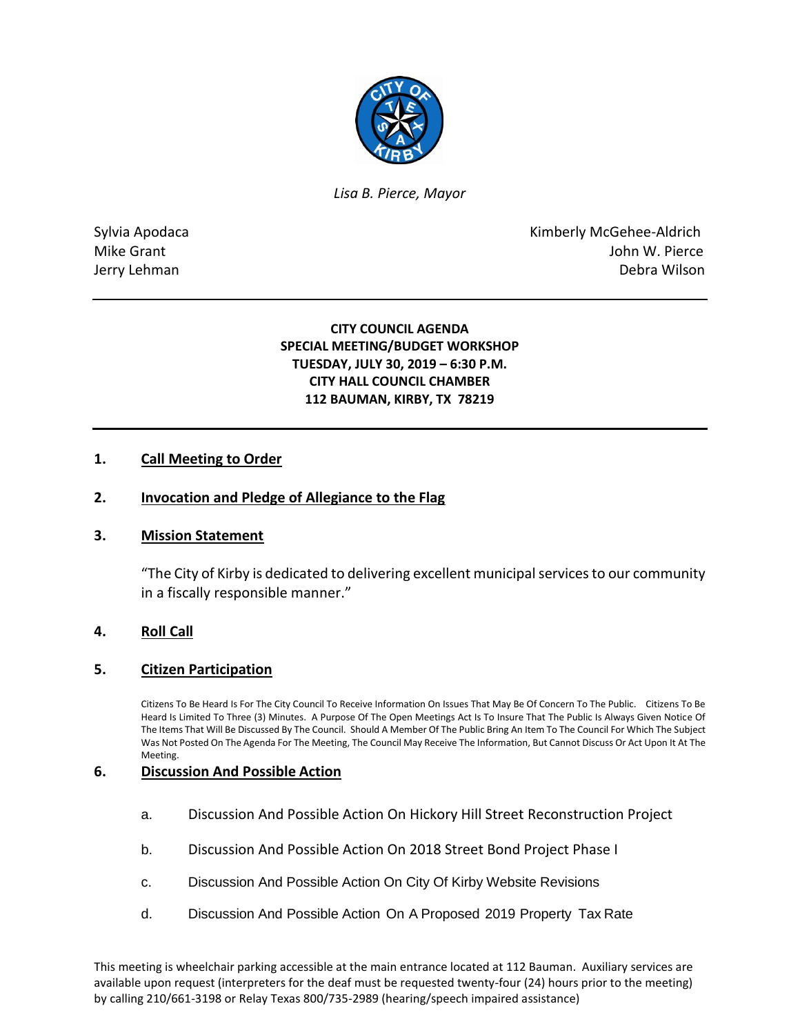

*Lisa B. Pierce, Mayor* 

Sylvia Apodaca **Kimberly McGehee-Aldrich** Mike Grant **Mike Grant** John W. Pierce Jerry Lehman Debra Wilson

> **CITY COUNCIL AGENDA SPECIAL MEETING/BUDGET WORKSHOP TUESDAY, JULY 30, 2019 – 6:30 P.M. CITY HALL COUNCIL CHAMBER 112 BAUMAN, KIRBY, TX 78219**

## **1. Call Meeting to Order**

#### **2. Invocation and Pledge of Allegiance to the Flag**

#### **3. Mission Statement**

"The City of Kirby is dedicated to delivering excellent municipal services to our community in a fiscally responsible manner."

# **4. Roll Call**

#### **5. Citizen Participation**

Citizens To Be Heard Is For The City Council To Receive Information On Issues That May Be Of Concern To The Public. Citizens To Be Heard Is Limited To Three (3) Minutes. A Purpose Of The Open Meetings Act Is To Insure That The Public Is Always Given Notice Of The Items That Will Be Discussed By The Council. Should A Member Of The Public Bring An Item To The Council For Which The Subject Was Not Posted On The Agenda For The Meeting, The Council May Receive The Information, But Cannot Discuss Or Act Upon It At The Meeting.

### **6. Discussion And Possible Action**

- a. Discussion And Possible Action On Hickory Hill Street Reconstruction Project
- b. Discussion And Possible Action On 2018 Street Bond Project Phase I
- c. Discussion And Possible Action On City Of Kirby Website Revisions
- d. Discussion And Possible Action On A Proposed 2019 Property Tax Rate

This meeting is wheelchair parking accessible at the main entrance located at 112 Bauman. Auxiliary services are available upon request (interpreters for the deaf must be requested twenty-four (24) hours prior to the meeting) by calling 210/661-3198 or Relay Texas 800/735-2989 (hearing/speech impaired assistance)